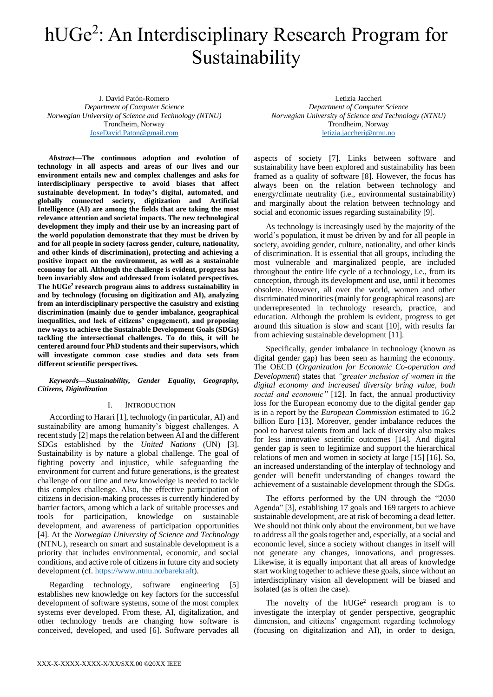# hUGe<sup>2</sup>: An Interdisciplinary Research Program for Sustainability

J. David Patón-Romero *Department of Computer Science Norwegian University of Science and Technology (NTNU)* Trondheim, Norway [JoseDavid.Paton@gmail.com](mailto:JoseDavid.Paton@gmail.com)

*Abstract***—The continuous adoption and evolution of technology in all aspects and areas of our lives and our environment entails new and complex challenges and asks for interdisciplinary perspective to avoid biases that affect sustainable development. In today's digital, automated, and globally connected society, digitization and Artificial Intelligence (AI) are among the fields that are taking the most relevance attention and societal impacts. The new technological development they imply and their use by an increasing part of the world population demonstrate that they must be driven by and for all people in society (across gender, culture, nationality, and other kinds of discrimination), protecting and achieving a positive impact on the environment, as well as a sustainable economy for all. Although the challenge is evident, progress has been invariably slow and addressed from isolated perspectives. The hUGe<sup>2</sup>research program aims to address sustainability in and by technology (focusing on digitization and AI), analyzing from an interdisciplinary perspective the casuistry and existing discrimination (mainly due to gender imbalance, geographical inequalities, and lack of citizens' engagement), and proposing new ways to achieve the Sustainable Development Goals (SDGs) tackling the intersectional challenges. To do this, it will be centered around four PhD students and their supervisors, which will investigate common case studies and data sets from different scientific perspectives.**

*Keywords—Sustainability, Gender Equality, Geography, Citizens, Digitalization*

# I. INTRODUCTION

According to Harari [\[1\],](#page-3-0) technology (in particular, AI) and sustainability are among humanity's biggest challenges. A recent study [\[2\]](#page-3-1) maps the relation between AI and the different SDGs established by the *United Nations* (UN) [\[3\].](#page-3-2) Sustainability is by nature a global challenge. The goal of fighting poverty and injustice, while safeguarding the environment for current and future generations, is the greatest challenge of our time and new knowledge is needed to tackle this complex challenge. Also, the effective participation of citizens in decision-making processes is currently hindered by barrier factors, among which a lack of suitable processes and tools for participation, knowledge on sustainable development, and awareness of participation opportunities [\[4\].](#page-3-3) At the *Norwegian University of Science and Technology* (NTNU), research on smart and sustainable development is a priority that includes environmental, economic, and social conditions, and active role of citizens in future city and society development (cf[. https://www.ntnu.no/barekraft\)](https://www.ntnu.no/barekraft).

Regarding technology, software engineering [\[5\]](#page-3-4) establishes new knowledge on key factors for the successful development of software systems, some of the most complex systems ever developed. From these, AI, digitalization, and other technology trends are changing how software is conceived, developed, and used [\[6\].](#page-3-5) Software pervades all

Letizia Jaccheri *Department of Computer Science Norwegian University of Science and Technology (NTNU)* Trondheim, Norway [letizia.jaccheri@ntnu.no](mailto:letizia.jaccheri@ntnu.no)

aspects of society [\[7\].](#page-3-6) Links between software and sustainability have been explored and sustainability has been framed as a quality of software [\[8\].](#page-3-7) However, the focus has always been on the relation between technology and energy/climate neutrality (i.e., environmental sustainability) and marginally about the relation between technology and social and economic issues regarding sustainability [\[9\].](#page-3-8)

As technology is increasingly used by the majority of the world's population, it must be driven by and for all people in society, avoiding gender, culture, nationality, and other kinds of discrimination. It is essential that all groups, including the most vulnerable and marginalized people, are included throughout the entire life cycle of a technology, i.e., from its conception, through its development and use, until it becomes obsolete. However, all over the world, women and other discriminated minorities (mainly for geographical reasons) are underrepresented in technology research, practice, and education. Although the problem is evident, progress to get around this situation is slow and scant [\[10\],](#page-3-9) with results far from achieving sustainable development [\[11\].](#page-3-10)

Specifically, gender imbalance in technology (known as digital gender gap) has been seen as harming the economy. The OECD (*Organization for Economic Co-operation and Development*) states that *"greater inclusion of women in the digital economy and increased diversity bring value, both social and economic"* [\[12\].](#page-3-11) In fact, the annual productivity loss for the European economy due to the digital gender gap is in a report by the *European Commission* estimated to 16.2 billion Euro [\[13\].](#page-3-12) Moreover, gender imbalance reduces the pool to harvest talents from and lack of diversity also makes for less innovative scientific outcomes [\[14\].](#page-3-13) And digital gender gap is seen to legitimize and support the hierarchical relations of men and women in society at large [\[15\]](#page-3-14) [\[16\].](#page-3-15) So, an increased understanding of the interplay of technology and gender will benefit understanding of changes toward the achievement of a sustainable development through the SDGs.

The efforts performed by the UN through the "2030 Agenda" [\[3\],](#page-3-2) establishing 17 goals and 169 targets to achieve sustainable development, are at risk of becoming a dead letter. We should not think only about the environment, but we have to address all the goals together and, especially, at a social and economic level, since a society without changes in itself will not generate any changes, innovations, and progresses. Likewise, it is equally important that all areas of knowledge start working together to achieve these goals, since without an interdisciplinary vision all development will be biased and isolated (as is often the case).

The novelty of the  $hUGe<sup>2</sup>$  research program is to investigate the interplay of gender perspective, geographic dimension, and citizens' engagement regarding technology (focusing on digitalization and AI), in order to design,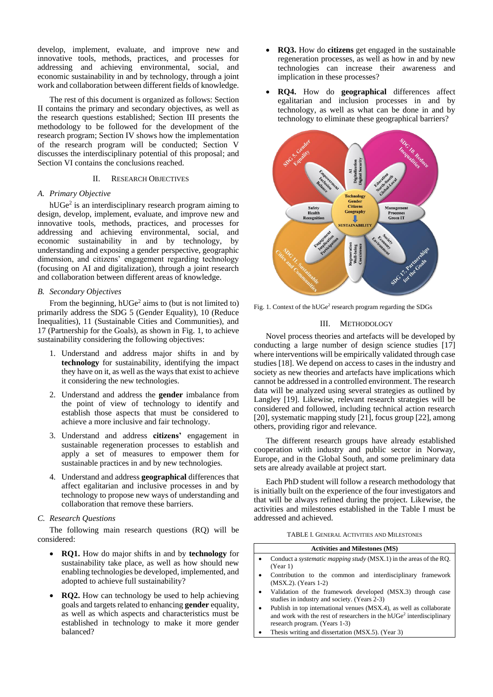develop, implement, evaluate, and improve new and innovative tools, methods, practices, and processes for addressing and achieving environmental, social, and economic sustainability in and by technology, through a joint work and collaboration between different fields of knowledge.

The rest of this document is organized as follows: Section II contains the primary and secondary objectives, as well as the research questions established; Section III presents the methodology to be followed for the development of the research program; Section IV shows how the implementation of the research program will be conducted; Section V discusses the interdisciplinary potential of this proposal; and Section VI contains the conclusions reached.

# II. RESEARCH OBJECTIVES

## *A. Primary Objective*

hUGe<sup>2</sup> is an interdisciplinary research program aiming to design, develop, implement, evaluate, and improve new and innovative tools, methods, practices, and processes for addressing and achieving environmental, social, and economic sustainability in and by technology, by understanding and exposing a gender perspective, geographic dimension, and citizens' engagement regarding technology (focusing on AI and digitalization), through a joint research and collaboration between different areas of knowledge.

### *B. Secondary Objectives*

From the beginning,  $hUGe<sup>2</sup>$  aims to (but is not limited to) primarily address the SDG 5 (Gender Equality), 10 (Reduce Inequalities), 11 (Sustainable Cities and Communities), and 17 (Partnership for the Goals), as shown in [Fig. 1,](#page-1-0) to achieve sustainability considering the following objectives:

- 1. Understand and address major shifts in and by **technology** for sustainability, identifying the impact they have on it, as well as the ways that exist to achieve it considering the new technologies.
- 2. Understand and address the **gender** imbalance from the point of view of technology to identify and establish those aspects that must be considered to achieve a more inclusive and fair technology.
- 3. Understand and address **citizens'** engagement in sustainable regeneration processes to establish and apply a set of measures to empower them for sustainable practices in and by new technologies.
- 4. Understand and address **geographical** differences that affect egalitarian and inclusive processes in and by technology to propose new ways of understanding and collaboration that remove these barriers.

#### *C. Research Questions*

The following main research questions (RQ) will be considered:

- **RQ1.** How do major shifts in and by **technology** for sustainability take place, as well as how should new enabling technologies be developed, implemented, and adopted to achieve full sustainability?
- **RQ2.** How can technology be used to help achieving goals and targets related to enhancing **gender** equality, as well as which aspects and characteristics must be established in technology to make it more gender balanced?
- **RQ3.** How do **citizens** get engaged in the sustainable regeneration processes, as well as how in and by new technologies can increase their awareness and implication in these processes?
- **RQ4.** How do **geographical** differences affect egalitarian and inclusion processes in and by technology, as well as what can be done in and by technology to eliminate these geographical barriers?



<span id="page-1-0"></span>Fig. 1. Context of the hUGe<sup>2</sup> research program regarding the SDGs

# III. METHODOLOGY

Novel process theories and artefacts will be developed by conducting a large number of design science studies [\[17\]](#page-3-16) where interventions will be empirically validated through case studies [\[18\].](#page-3-17) We depend on access to cases in the industry and society as new theories and artefacts have implications which cannot be addressed in a controlled environment. The research data will be analyzed using several strategies as outlined by Langley [\[19\].](#page-3-18) Likewise, relevant research strategies will be considered and followed, including technical action research [\[20\],](#page-3-19) systematic mapping study [\[21\],](#page-3-20) focus group [\[22\],](#page-3-21) among others, providing rigor and relevance.

The different research groups have already established cooperation with industry and public sector in Norway, Europe, and in the Global South, and some preliminary data sets are already available at project start.

Each PhD student will follow a research methodology that is initially built on the experience of the four investigators and that will be always refined during the project. Likewise, the activities and milestones established in the [Table I](#page-1-1) must be addressed and achieved.

TABLE I. GENERAL ACTIVITIES AND MILESTONES

<span id="page-1-1"></span>

| <b>Activities and Milestones (MS)</b> |                                                                                                                                                                                          |  |
|---------------------------------------|------------------------------------------------------------------------------------------------------------------------------------------------------------------------------------------|--|
|                                       | Conduct a <i>systematic mapping study</i> (MSX.1) in the areas of the RQ.<br>(Year 1)                                                                                                    |  |
|                                       | Contribution to the common and interdisciplinary framework<br>(MSX.2). (Years 1-2)                                                                                                       |  |
|                                       | Validation of the framework developed (MSX.3) through case<br>studies in industry and society. (Years 2-3)                                                                               |  |
|                                       | Publish in top international venues (MSX.4), as well as collaborate<br>and work with the rest of researchers in the hUGe <sup>2</sup> interdisciplinary<br>research program. (Years 1-3) |  |
|                                       | Thesis writing and dissertation (MSX.5). (Year 3)                                                                                                                                        |  |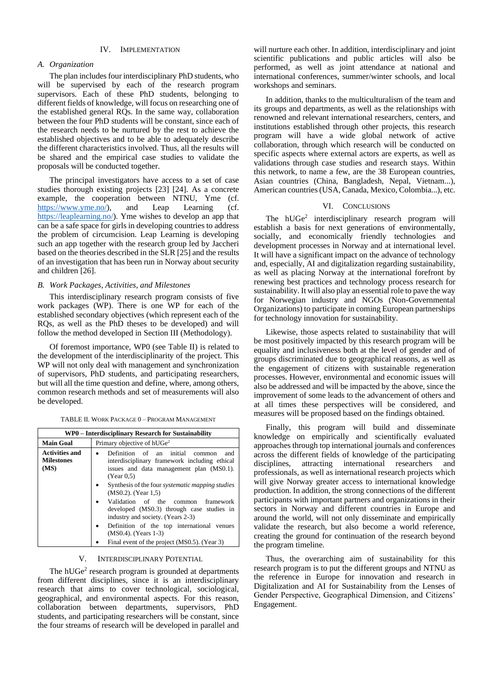### IV. IMPLEMENTATION

#### *A. Organization*

The plan includes four interdisciplinary PhD students, who will be supervised by each of the research program supervisors. Each of these PhD students, belonging to different fields of knowledge, will focus on researching one of the established general RQs. In the same way, collaboration between the four PhD students will be constant, since each of the research needs to be nurtured by the rest to achieve the established objectives and to be able to adequately describe the different characteristics involved. Thus, all the results will be shared and the empirical case studies to validate the proposals will be conducted together.

The principal investigators have access to a set of case studies thorough existing projects [\[23\]](#page-3-22) [\[24\].](#page-3-23) As a concrete example, the cooperation between NTNU, Yme (cf. [https://www.yme.no/\)](https://www.yme.no/), and Leap Learning (cf. [https://leaplearning.no/\)](https://leaplearning.no/). Yme wishes to develop an app that can be a safe space for girls in developing countries to address the problem of circumcision. Leap Learning is developing such an app together with the research group led by Jaccheri based on the theories described in the SLR [\[25\]](#page-3-24) and the results of an investigation that has been run in Norway about security and children [\[26\].](#page-3-25)

### *B. Work Packages, Activities, and Milestones*

This interdisciplinary research program consists of five work packages (WP). There is one WP for each of the established secondary objectives (which represent each of the RQs, as well as the PhD theses to be developed) and will follow the method developed in Section III (Methodology).

Of foremost importance, WP0 (see [Table II\)](#page-2-0) is related to the development of the interdisciplinarity of the project. This WP will not only deal with management and synchronization of supervisors, PhD students, and participating researchers, but will all the time question and define, where, among others, common research methods and set of measurements will also be developed.

TABLE II. WORK PACKAGE 0 – PROGRAM MANAGEMENT

<span id="page-2-0"></span>

| WP0 – Interdisciplinary Research for Sustainability |                                                                                                                                                                                                                                                                                                                                                                                                                                                                                                         |  |  |
|-----------------------------------------------------|---------------------------------------------------------------------------------------------------------------------------------------------------------------------------------------------------------------------------------------------------------------------------------------------------------------------------------------------------------------------------------------------------------------------------------------------------------------------------------------------------------|--|--|
| <b>Main Goal</b>                                    | Primary objective of hUGe <sup>2</sup>                                                                                                                                                                                                                                                                                                                                                                                                                                                                  |  |  |
| <b>Activities and</b><br><b>Milestones</b><br>(MS)  | an initial<br>Definition of<br>and<br>common<br>interdisciplinary framework including ethical<br>issues and data management plan (MS0.1).<br>(Year 0.5)<br>Synthesis of the four <i>systematic mapping studies</i><br>(MS0.2). (Year 1,5)<br>Validation of the common<br>framework<br>developed (MS0.3) through case studies in<br>industry and society. (Years 2-3)<br>Definition of the top international venues<br>$\bullet$<br>(MS0.4). (Years 1-3)<br>Final event of the project (MS0.5). (Year 3) |  |  |

# V. INTERDISCIPLINARY POTENTIAL

The  $hUGe<sup>2</sup>$  research program is grounded at departments from different disciplines, since it is an interdisciplinary research that aims to cover technological, sociological, geographical, and environmental aspects. For this reason, collaboration between departments, supervisors, PhD students, and participating researchers will be constant, since the four streams of research will be developed in parallel and

will nurture each other. In addition, interdisciplinary and joint scientific publications and public articles will also be performed, as well as joint attendance at national and international conferences, summer/winter schools, and local workshops and seminars.

In addition, thanks to the multiculturalism of the team and its groups and departments, as well as the relationships with renowned and relevant international researchers, centers, and institutions established through other projects, this research program will have a wide global network of active collaboration, through which research will be conducted on specific aspects where external actors are experts, as well as validations through case studies and research stays. Within this network, to name a few, are the 38 European countries, Asian countries (China, Bangladesh, Nepal, Vietnam...), American countries (USA, Canada, Mexico, Colombia...), etc.

#### VI. CONCLUSIONS

The hUGe<sup>2</sup> interdisciplinary research program will establish a basis for next generations of environmentally, socially, and economically friendly technologies and development processes in Norway and at international level. It will have a significant impact on the advance of technology and, especially, AI and digitalization regarding sustainability, as well as placing Norway at the international forefront by renewing best practices and technology process research for sustainability. It will also play an essential role to pave the way for Norwegian industry and NGOs (Non-Governmental Organizations) to participate in coming European partnerships for technology innovation for sustainability.

Likewise, those aspects related to sustainability that will be most positively impacted by this research program will be equality and inclusiveness both at the level of gender and of groups discriminated due to geographical reasons, as well as the engagement of citizens with sustainable regeneration processes. However, environmental and economic issues will also be addressed and will be impacted by the above, since the improvement of some leads to the advancement of others and at all times these perspectives will be considered, and measures will be proposed based on the findings obtained.

Finally, this program will build and disseminate knowledge on empirically and scientifically evaluated approaches through top international journals and conferences across the different fields of knowledge of the participating disciplines, attracting international researchers and professionals, as well as international research projects which will give Norway greater access to international knowledge production. In addition, the strong connections of the different participants with important partners and organizations in their sectors in Norway and different countries in Europe and around the world, will not only disseminate and empirically validate the research, but also become a world reference, creating the ground for continuation of the research beyond the program timeline.

Thus, the overarching aim of sustainability for this research program is to put the different groups and NTNU as the reference in Europe for innovation and research in Digitalization and AI for Sustainability from the Lenses of Gender Perspective, Geographical Dimension, and Citizens' Engagement.